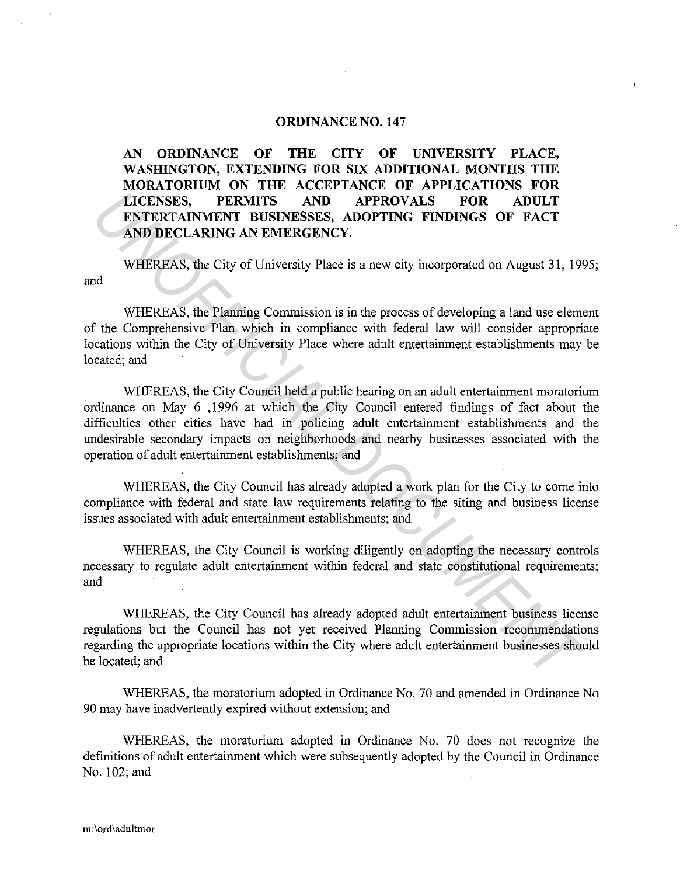## **ORDINANCE NO. 147**

**AN ORDINANCE OF THE CITY OF UNIVERSITY PLACE, WASHINGTON, EXTENDING FOR SIX ADDITIONAL MONTHS THE MORATORIUM ON THE ACCEPTANCE OF APPLICATIONS FOR LICENSES, PERMITS AND APPROVALS FOR ADULT ENTERTAINMENT BUSINESSES, ADOPTING FINDINGS OF FACT AND DECLARING AN EMERGENCY.** 

and WHEREAS, the City of University Place is a new city incorporated on August 31, 1995;

WHEREAS, the Planning Commission is in the process of developing a land use element of the Comprehensive Plan which in compliance with federal law will consider appropriate locations within the City of University Place where adult entertainment establishments may be located; and

WHEREAS, the City Council held a public hearing on an adult entertainment moratorium ordinance on May 6 , 1996 at which the City Council entered findings of fact about the difficulties other cities have had in policing adult entertainment establishments and the undesirable secondary impacts on neighborhoods and nearby businesses associated with the operation of adult entertainment establishments; and **INCENSES, PERMITS AND APPROVALS FOR ADULT ENTERTAINMENT BUSINESSES, ADOPTING FINDINGS OF FACT AND DECLARING AN EMERGENS, ADOPTING FINDINGS OF FACT AND DECLARING AN EMERGENCY.**<br>
WHEREAS, the City of University Place is a n

WHEREAS, the City Council has already adopted a work plan for the City to come into compliance with federal and state law requirements relating to the siting and business license issues associated with adult entertainment establishments; and

WHEREAS, the City Council is working diligently on adopting the necessary controls necessary to regulate adult entertainment within federal and state constitutional requirements; and

WHEREAS, the City Council has already adopted adult entertainment business license regulations· but the Council has not yet received Planning Commission recommendations regarding the appropriate locations within the City where adult entertainment businesses should be located; and

WHEREAS, the moratorium adopted in Ordinance No. 70 and amended in Ordinance No 90 may have inadvertently expired without extension; and

WHEREAS, the moratorium adopted in Ordinance No. 70 does not recognize the definitions of adult entertainment which were subsequently adopted by the Council in Ordinance No. 102; and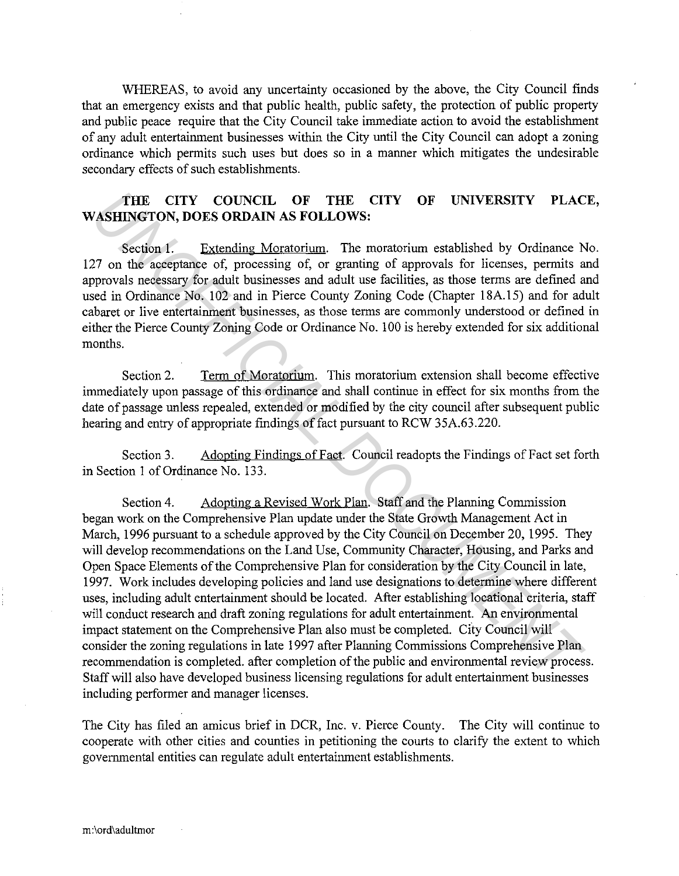WHEREAS, to avoid any uncertainty occasioned by the above, the City Council finds that an emergency exists and that public health, public safety, the protection of public property and public peace require that the City Council take immediate action to avoid the establishment of any adult entertainment businesses within the City until the City Council can adopt a zoning ordinance which permits such uses but does so in a manner which mitigates the undesirable secondary effects of such establishments.

## **THE CITY COUNCIL OF THE CITY OF UNIVERSITY PLACE, WASHINGTON, DOES ORDAIN AS FOLLOWS:**

Section 1. Extending Moratorium. The moratorium established by Ordinance No. 127 on the acceptance of, processing of, or granting of approvals for licenses, permits and approvals necessary for adult businesses and adult use facilities, as those terms are defined and used in Ordinance No. 102 and in Pierce County Zoning Code (Chapter 18A.15) and for adult cabaret or live entertainment businesses, as those terms are commonly understood or defined in either the Pierce County Zoning Code or Ordinance No. 100 is hereby extended for six additional months.

Section 2. Term of Moratorium. This moratorium extension shall become effective immediately upon passage of this ordinance and shall continue in effect for six months from the date of passage unless repealed, extended or modified by the city council after subsequent public hearing and entry of appropriate findings of fact pursuant to RCW 35A.63.220.

Section 3. Adopting Findings of Fact. Council readopts the Findings of Fact set forth in Section I of Ordinance No. 133.

Section 4. Adopting a Revised Work Plan. Staff and the Planning Commission began work on the Comprehensive Plan update under the State Growth Management Act in March, 1996 pursuant to a schedule approved by the City Council on December 20, 1995. They will develop recommendations on the Land Use, Community Character, Housing, and Parks and Open Space Elements of the Comprehensive Plan for consideration by the City Council in late, 1997. Work includes developing policies and land use designations to determine where different uses, including adult entertainment should be located. After establishing locational criteria, staff will conduct research and draft zoning regulations for adult entertainment. An environmental impact statement on the Comprehensive Plan also must be completed. City Council will consider the zoning regulations in late 1997 after Planning Commissions Comprehensive Plan recommendation is completed. after completion of the public and environmental review process. Staff will also have developed business licensing regulations for adult entertainment businesses including performer and manager licenses. **THE CITY COUNCIL OF THE CITY OF UNIVERSITY PLAC**<br> **VASHINGTON, DOES ORDAIN AS FOLLOWS:**<br>
Section 1. Extending Moratonium The moratorium established by Ordinance Ne<br>
of the acceptance of, processing of, or graning of appro

The City has filed an amicus brief in DCR, Inc. v. Pierce County. The City will continue to cooperate with other cities and counties in petitioning the courts to clarify the extent to which governmental entities can regulate adult entertainment establishments.